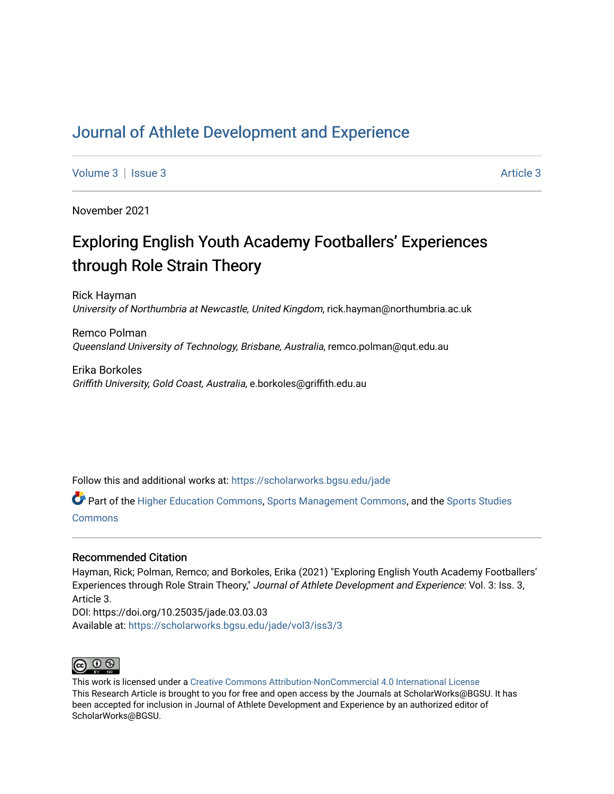# [Journal of Athlete Development and Experience](https://scholarworks.bgsu.edu/jade)

[Volume 3](https://scholarworks.bgsu.edu/jade/vol3) | [Issue 3](https://scholarworks.bgsu.edu/jade/vol3/iss3) Article 3

November 2021

# Exploring English Youth Academy Footballers' Experiences through Role Strain Theory

Rick Hayman University of Northumbria at Newcastle, United Kingdom, rick.hayman@northumbria.ac.uk

Remco Polman Queensland University of Technology, Brisbane, Australia, remco.polman@qut.edu.au

Erika Borkoles Griffith University, Gold Coast, Australia, e.borkoles@griffith.edu.au

Follow this and additional works at: [https://scholarworks.bgsu.edu/jade](https://scholarworks.bgsu.edu/jade?utm_source=scholarworks.bgsu.edu%2Fjade%2Fvol3%2Fiss3%2F3&utm_medium=PDF&utm_campaign=PDFCoverPages) 

Part of the [Higher Education Commons,](http://network.bepress.com/hgg/discipline/1245?utm_source=scholarworks.bgsu.edu%2Fjade%2Fvol3%2Fiss3%2F3&utm_medium=PDF&utm_campaign=PDFCoverPages) [Sports Management Commons,](http://network.bepress.com/hgg/discipline/1193?utm_source=scholarworks.bgsu.edu%2Fjade%2Fvol3%2Fiss3%2F3&utm_medium=PDF&utm_campaign=PDFCoverPages) and the [Sports Studies](http://network.bepress.com/hgg/discipline/1198?utm_source=scholarworks.bgsu.edu%2Fjade%2Fvol3%2Fiss3%2F3&utm_medium=PDF&utm_campaign=PDFCoverPages)  **[Commons](http://network.bepress.com/hgg/discipline/1198?utm_source=scholarworks.bgsu.edu%2Fjade%2Fvol3%2Fiss3%2F3&utm_medium=PDF&utm_campaign=PDFCoverPages)** 

#### Recommended Citation

Hayman, Rick; Polman, Remco; and Borkoles, Erika (2021) "Exploring English Youth Academy Footballers' Experiences through Role Strain Theory," Journal of Athlete Development and Experience: Vol. 3: Iss. 3, Article 3.

DOI: https://doi.org/10.25035/jade.03.03.03 Available at: [https://scholarworks.bgsu.edu/jade/vol3/iss3/3](https://scholarworks.bgsu.edu/jade/vol3/iss3/3?utm_source=scholarworks.bgsu.edu%2Fjade%2Fvol3%2Fiss3%2F3&utm_medium=PDF&utm_campaign=PDFCoverPages) 



This work is licensed under a [Creative Commons Attribution-NonCommercial 4.0 International License](https://creativecommons.org/licenses/by-nc/4.0/) This Research Article is brought to you for free and open access by the Journals at ScholarWorks@BGSU. It has been accepted for inclusion in Journal of Athlete Development and Experience by an authorized editor of ScholarWorks@BGSU.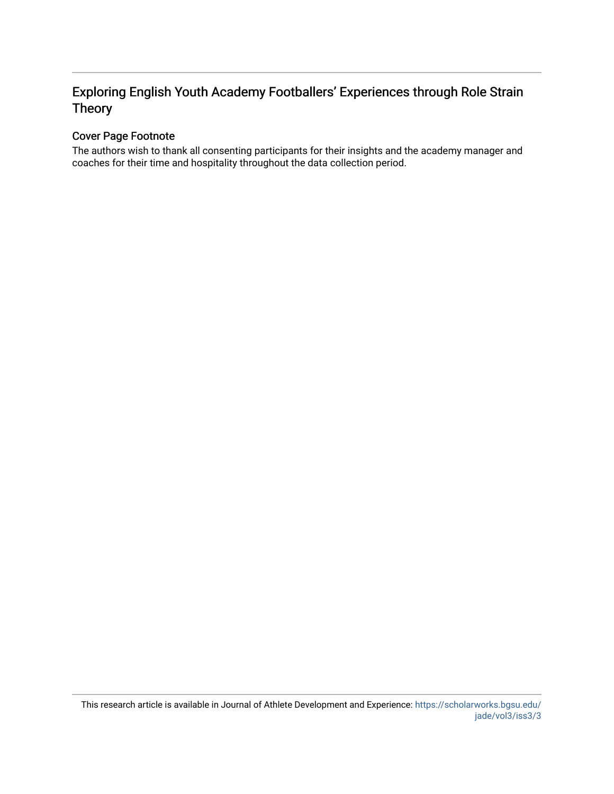# Exploring English Youth Academy Footballers' Experiences through Role Strain Theory

# Cover Page Footnote

The authors wish to thank all consenting participants for their insights and the academy manager and coaches for their time and hospitality throughout the data collection period.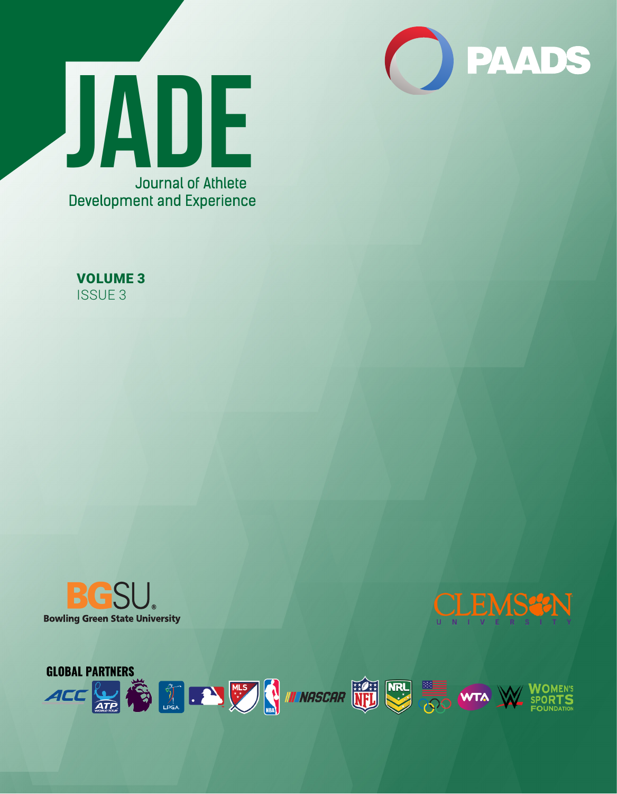









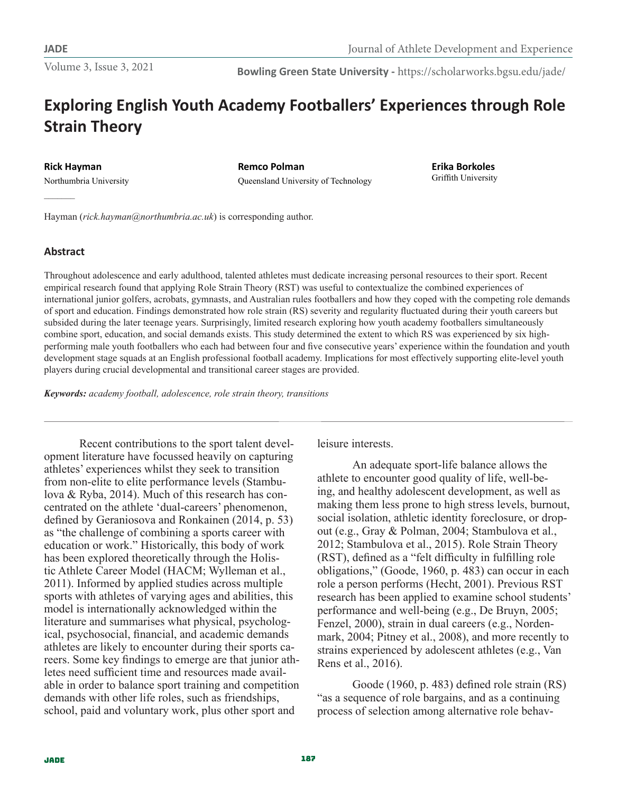**Bowling Green State University -** https://scholarworks.bgsu.edu/jade/

# **Exploring English Youth Academy Footballers' Experiences through Role Strain Theory**

**Rick Hayman** Northumbria University

**Remco Polman** Queensland University of Technology **Erika Borkoles** Griffith University

Hayman (*rick.hayman@northumbria.ac.uk*) is corresponding author.

# **Abstract**

Throughout adolescence and early adulthood, talented athletes must dedicate increasing personal resources to their sport. Recent empirical research found that applying Role Strain Theory (RST) was useful to contextualize the combined experiences of international junior golfers, acrobats, gymnasts, and Australian rules footballers and how they coped with the competing role demands of sport and education. Findings demonstrated how role strain (RS) severity and regularity fluctuated during their youth careers but subsided during the later teenage years. Surprisingly, limited research exploring how youth academy footballers simultaneously combine sport, education, and social demands exists. This study determined the extent to which RS was experienced by six highperforming male youth footballers who each had between four and five consecutive years' experience within the foundation and youth development stage squads at an English professional football academy. Implications for most effectively supporting elite-level youth players during crucial developmental and transitional career stages are provided.

*Keywords: academy football, adolescence, role strain theory, transitions*

Recent contributions to the sport talent development literature have focussed heavily on capturing athletes' experiences whilst they seek to transition from non-elite to elite performance levels (Stambulova & Ryba, 2014). Much of this research has concentrated on the athlete 'dual-careers' phenomenon, defined by Geraniosova and Ronkainen (2014, p. 53) as "the challenge of combining a sports career with education or work." Historically, this body of work has been explored theoretically through the Holistic Athlete Career Model (HACM; Wylleman et al., 2011). Informed by applied studies across multiple sports with athletes of varying ages and abilities, this model is internationally acknowledged within the literature and summarises what physical, psychological, psychosocial, financial, and academic demands athletes are likely to encounter during their sports careers. Some key findings to emerge are that junior athletes need sufficient time and resources made available in order to balance sport training and competition demands with other life roles, such as friendships, school, paid and voluntary work, plus other sport and

leisure interests.

An adequate sport-life balance allows the athlete to encounter good quality of life, well-being, and healthy adolescent development, as well as making them less prone to high stress levels, burnout, social isolation, athletic identity foreclosure, or dropout (e.g., Gray & Polman, 2004; Stambulova et al., 2012; Stambulova et al., 2015). Role Strain Theory (RST), defined as a "felt difficulty in fulfilling role obligations," (Goode, 1960, p. 483) can occur in each role a person performs (Hecht, 2001). Previous RST research has been applied to examine school students' performance and well-being (e.g., De Bruyn, 2005; Fenzel, 2000), strain in dual careers (e.g., Nordenmark, 2004; Pitney et al., 2008), and more recently to strains experienced by adolescent athletes (e.g., Van Rens et al., 2016).

Goode (1960, p. 483) defined role strain (RS) "as a sequence of role bargains, and as a continuing process of selection among alternative role behav-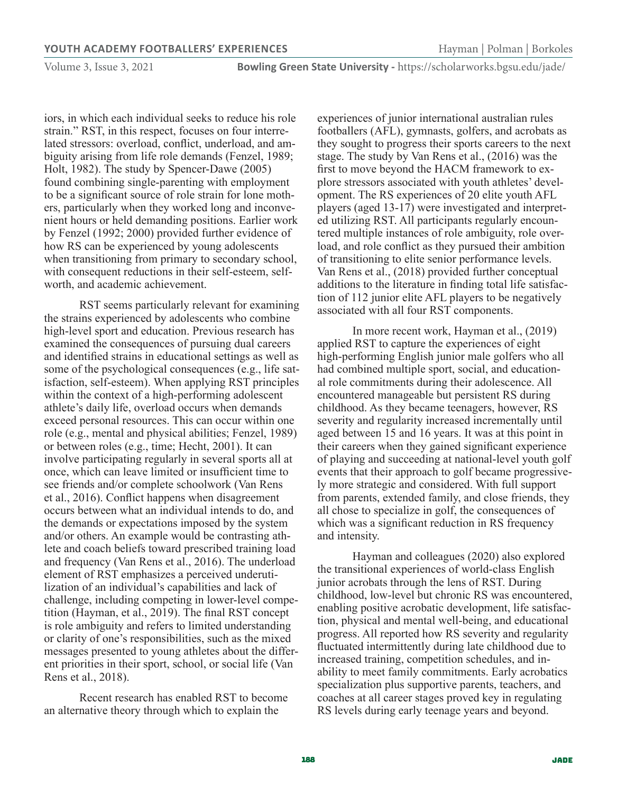**Bowling Green State University -** https://scholarworks.bgsu.edu/jade/

iors, in which each individual seeks to reduce his role strain." RST, in this respect, focuses on four interrelated stressors: overload, conflict, underload, and ambiguity arising from life role demands (Fenzel, 1989; Holt, 1982). The study by Spencer-Dawe (2005) found combining single-parenting with employment to be a significant source of role strain for lone mothers, particularly when they worked long and inconvenient hours or held demanding positions. Earlier work by Fenzel (1992; 2000) provided further evidence of how RS can be experienced by young adolescents when transitioning from primary to secondary school, with consequent reductions in their self-esteem, selfworth, and academic achievement.

RST seems particularly relevant for examining the strains experienced by adolescents who combine high-level sport and education. Previous research has examined the consequences of pursuing dual careers and identified strains in educational settings as well as some of the psychological consequences (e.g., life satisfaction, self-esteem). When applying RST principles within the context of a high-performing adolescent athlete's daily life, overload occurs when demands exceed personal resources. This can occur within one role (e.g., mental and physical abilities; Fenzel, 1989) or between roles (e.g., time; Hecht, 2001). It can involve participating regularly in several sports all at once, which can leave limited or insufficient time to see friends and/or complete schoolwork (Van Rens et al., 2016). Conflict happens when disagreement occurs between what an individual intends to do, and the demands or expectations imposed by the system and/or others. An example would be contrasting athlete and coach beliefs toward prescribed training load and frequency (Van Rens et al., 2016). The underload element of RST emphasizes a perceived underutilization of an individual's capabilities and lack of challenge, including competing in lower-level competition (Hayman, et al., 2019). The final RST concept is role ambiguity and refers to limited understanding or clarity of one's responsibilities, such as the mixed messages presented to young athletes about the different priorities in their sport, school, or social life (Van Rens et al., 2018).

Recent research has enabled RST to become an alternative theory through which to explain the

experiences of junior international australian rules footballers (AFL), gymnasts, golfers, and acrobats as they sought to progress their sports careers to the next stage. The study by Van Rens et al., (2016) was the first to move beyond the HACM framework to explore stressors associated with youth athletes' development. The RS experiences of 20 elite youth AFL players (aged 13-17) were investigated and interpreted utilizing RST. All participants regularly encountered multiple instances of role ambiguity, role overload, and role conflict as they pursued their ambition of transitioning to elite senior performance levels. Van Rens et al., (2018) provided further conceptual additions to the literature in finding total life satisfaction of 112 junior elite AFL players to be negatively associated with all four RST components.

In more recent work, Hayman et al., (2019) applied RST to capture the experiences of eight high-performing English junior male golfers who all had combined multiple sport, social, and educational role commitments during their adolescence. All encountered manageable but persistent RS during childhood. As they became teenagers, however, RS severity and regularity increased incrementally until aged between 15 and 16 years. It was at this point in their careers when they gained significant experience of playing and succeeding at national-level youth golf events that their approach to golf became progressively more strategic and considered. With full support from parents, extended family, and close friends, they all chose to specialize in golf, the consequences of which was a significant reduction in RS frequency and intensity.

Hayman and colleagues (2020) also explored the transitional experiences of world-class English junior acrobats through the lens of RST. During childhood, low-level but chronic RS was encountered, enabling positive acrobatic development, life satisfaction, physical and mental well-being, and educational progress. All reported how RS severity and regularity fluctuated intermittently during late childhood due to increased training, competition schedules, and inability to meet family commitments. Early acrobatics specialization plus supportive parents, teachers, and coaches at all career stages proved key in regulating RS levels during early teenage years and beyond.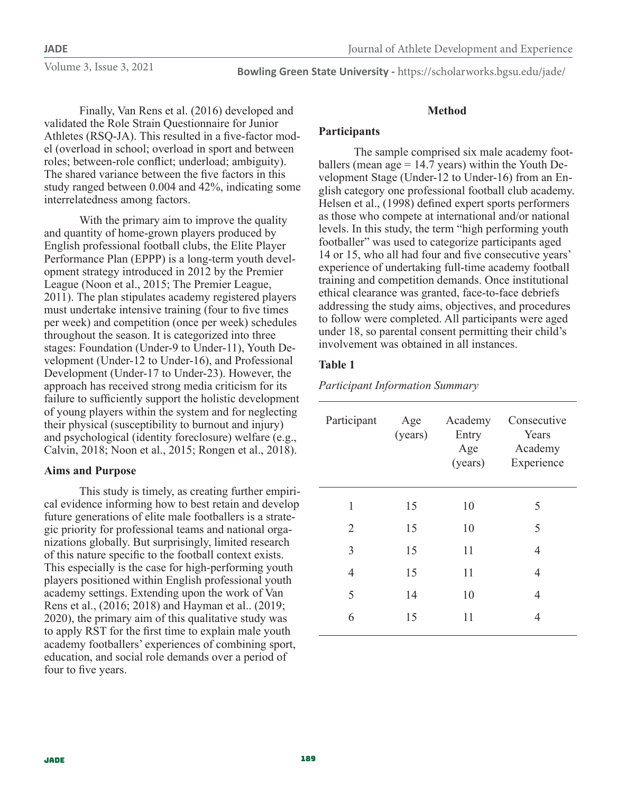**Bowling Green State University -** https://scholarworks.bgsu.edu/jade/

Finally, Van Rens et al. (2016) developed and validated the Role Strain Questionnaire for Junior Athletes (RSQ-JA). This resulted in a five-factor model (overload in school; overload in sport and between roles; between-role conflict; underload; ambiguity). The shared variance between the five factors in this study ranged between 0.004 and 42%, indicating some interrelatedness among factors.

With the primary aim to improve the quality and quantity of home-grown players produced by English professional football clubs, the Elite Player Performance Plan (EPPP) is a long-term youth development strategy introduced in 2012 by the Premier League (Noon et al., 2015; The Premier League, 2011). The plan stipulates academy registered players must undertake intensive training (four to five times per week) and competition (once per week) schedules throughout the season. It is categorized into three stages: Foundation (Under-9 to Under-11), Youth Development (Under-12 to Under-16), and Professional Development (Under-17 to Under-23). However, the approach has received strong media criticism for its failure to sufficiently support the holistic development of young players within the system and for neglecting their physical (susceptibility to burnout and injury) and psychological (identity foreclosure) welfare (e.g., Calvin, 2018; Noon et al., 2015; Rongen et al., 2018).

# **Aims and Purpose**

This study is timely, as creating further empirical evidence informing how to best retain and develop future generations of elite male footballers is a strategic priority for professional teams and national organizations globally. But surprisingly, limited research of this nature specific to the football context exists. This especially is the case for high-performing youth players positioned within English professional youth academy settings. Extending upon the work of Van Rens et al., (2016; 2018) and Hayman et al.. (2019; 2020), the primary aim of this qualitative study was to apply RST for the first time to explain male youth academy footballers' experiences of combining sport, education, and social role demands over a period of four to five years.

# **Method**

# **Participants**

The sample comprised six male academy footballers (mean age  $= 14.7$  years) within the Youth Development Stage (Under-12 to Under-16) from an English category one professional football club academy. Helsen et al., (1998) defined expert sports performers as those who compete at international and/or national levels. In this study, the term "high performing youth footballer" was used to categorize participants aged 14 or 15, who all had four and five consecutive years' experience of undertaking full-time academy football training and competition demands. Once institutional ethical clearance was granted, face-to-face debriefs addressing the study aims, objectives, and procedures to follow were completed. All participants were aged under 18, so parental consent permitting their child's involvement was obtained in all instances.

# **Table 1**

*Participant Information Summary*

| Participant    | Age<br>(years) | Academy<br>Entry<br>Age<br>(years) | Consecutive<br>Years<br>Academy<br>Experience |
|----------------|----------------|------------------------------------|-----------------------------------------------|
| 1              | 15             | 10                                 | 5                                             |
| $\overline{2}$ | 15             | 10                                 | 5                                             |
| 3              | 15             | 11                                 | 4                                             |
| $\overline{4}$ | 15             | 11                                 | 4                                             |
| 5              | 14             | 10                                 | 4                                             |
| 6              | 15             | 11                                 | 4                                             |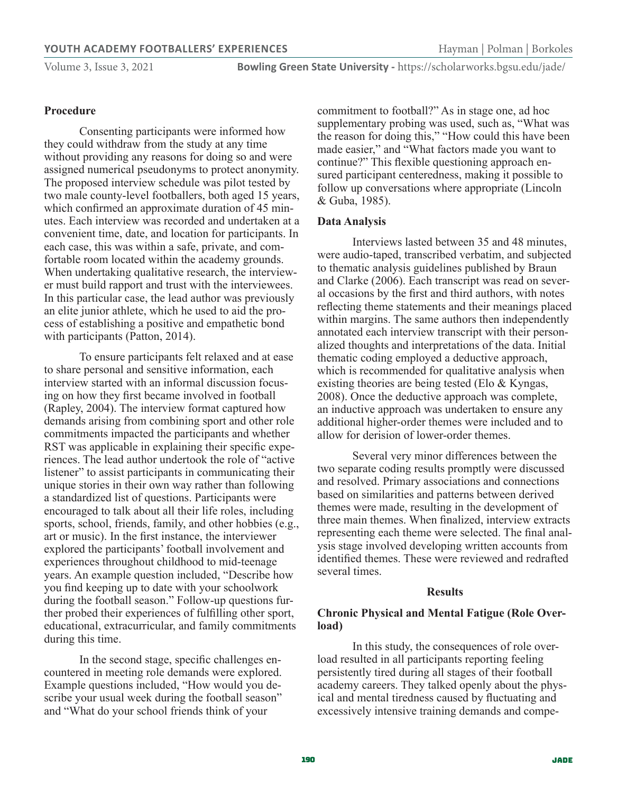### **Procedure**

Consenting participants were informed how they could withdraw from the study at any time without providing any reasons for doing so and were assigned numerical pseudonyms to protect anonymity. The proposed interview schedule was pilot tested by two male county-level footballers, both aged 15 years, which confirmed an approximate duration of 45 minutes. Each interview was recorded and undertaken at a convenient time, date, and location for participants. In each case, this was within a safe, private, and comfortable room located within the academy grounds. When undertaking qualitative research, the interviewer must build rapport and trust with the interviewees. In this particular case, the lead author was previously an elite junior athlete, which he used to aid the process of establishing a positive and empathetic bond with participants (Patton, 2014).

To ensure participants felt relaxed and at ease to share personal and sensitive information, each interview started with an informal discussion focusing on how they first became involved in football (Rapley, 2004). The interview format captured how demands arising from combining sport and other role commitments impacted the participants and whether RST was applicable in explaining their specific experiences. The lead author undertook the role of "active listener" to assist participants in communicating their unique stories in their own way rather than following a standardized list of questions. Participants were encouraged to talk about all their life roles, including sports, school, friends, family, and other hobbies (e.g., art or music). In the first instance, the interviewer explored the participants' football involvement and experiences throughout childhood to mid-teenage years. An example question included, "Describe how you find keeping up to date with your schoolwork during the football season." Follow-up questions further probed their experiences of fulfilling other sport, educational, extracurricular, and family commitments during this time.

In the second stage, specific challenges encountered in meeting role demands were explored. Example questions included, "How would you describe your usual week during the football season" and "What do your school friends think of your

commitment to football?" As in stage one, ad hoc supplementary probing was used, such as, "What was the reason for doing this," "How could this have been made easier," and "What factors made you want to continue?" This flexible questioning approach ensured participant centeredness, making it possible to follow up conversations where appropriate (Lincoln & Guba, 1985).

#### **Data Analysis**

Interviews lasted between 35 and 48 minutes, were audio-taped, transcribed verbatim, and subjected to thematic analysis guidelines published by Braun and Clarke (2006). Each transcript was read on several occasions by the first and third authors, with notes reflecting theme statements and their meanings placed within margins. The same authors then independently annotated each interview transcript with their personalized thoughts and interpretations of the data. Initial thematic coding employed a deductive approach, which is recommended for qualitative analysis when existing theories are being tested (Elo & Kyngas, 2008). Once the deductive approach was complete, an inductive approach was undertaken to ensure any additional higher-order themes were included and to allow for derision of lower-order themes.

Several very minor differences between the two separate coding results promptly were discussed and resolved. Primary associations and connections based on similarities and patterns between derived themes were made, resulting in the development of three main themes. When finalized, interview extracts representing each theme were selected. The final analysis stage involved developing written accounts from identified themes. These were reviewed and redrafted several times.

#### **Results**

#### **Chronic Physical and Mental Fatigue (Role Overload)**

In this study, the consequences of role overload resulted in all participants reporting feeling persistently tired during all stages of their football academy careers. They talked openly about the physical and mental tiredness caused by fluctuating and excessively intensive training demands and compe-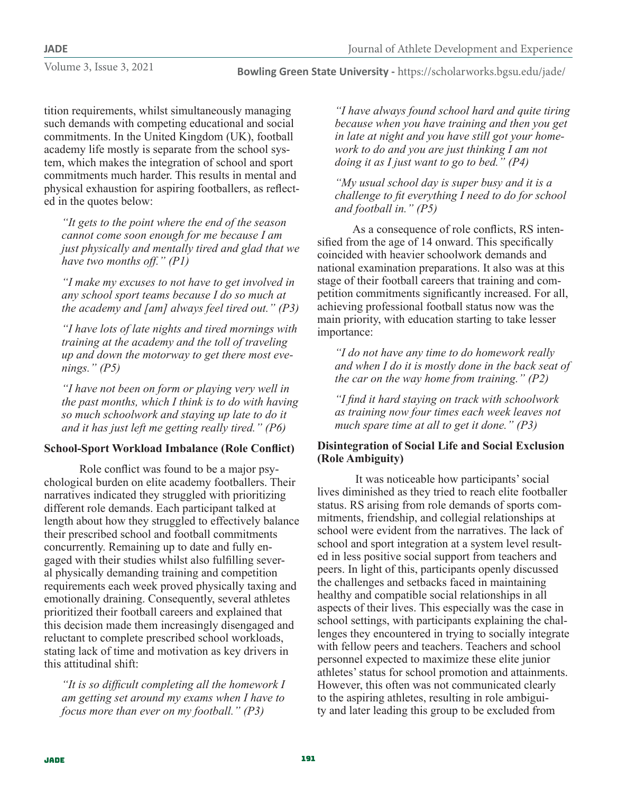**Bowling Green State University -** https://scholarworks.bgsu.edu/jade/

tition requirements, whilst simultaneously managing such demands with competing educational and social commitments. In the United Kingdom (UK), football academy life mostly is separate from the school system, which makes the integration of school and sport commitments much harder. This results in mental and physical exhaustion for aspiring footballers, as reflected in the quotes below:

*"It gets to the point where the end of the season cannot come soon enough for me because I am just physically and mentally tired and glad that we have two months off." (P1)*

*"I make my excuses to not have to get involved in any school sport teams because I do so much at the academy and [am] always feel tired out." (P3)*

*"I have lots of late nights and tired mornings with training at the academy and the toll of traveling up and down the motorway to get there most evenings." (P5)*

*"I have not been on form or playing very well in the past months, which I think is to do with having so much schoolwork and staying up late to do it and it has just left me getting really tired." (P6)*

# **School-Sport Workload Imbalance (Role Conflict)**

Role conflict was found to be a major psychological burden on elite academy footballers. Their narratives indicated they struggled with prioritizing different role demands. Each participant talked at length about how they struggled to effectively balance their prescribed school and football commitments concurrently. Remaining up to date and fully engaged with their studies whilst also fulfilling several physically demanding training and competition requirements each week proved physically taxing and emotionally draining. Consequently, several athletes prioritized their football careers and explained that this decision made them increasingly disengaged and reluctant to complete prescribed school workloads, stating lack of time and motivation as key drivers in this attitudinal shift:

*"It is so difficult completing all the homework I am getting set around my exams when I have to focus more than ever on my football." (P3)*

*"I have always found school hard and quite tiring because when you have training and then you get in late at night and you have still got your homework to do and you are just thinking I am not doing it as I just want to go to bed." (P4)*

*"My usual school day is super busy and it is a challenge to fit everything I need to do for school and football in." (P5)*

As a consequence of role conflicts, RS intensified from the age of 14 onward. This specifically coincided with heavier schoolwork demands and national examination preparations. It also was at this stage of their football careers that training and competition commitments significantly increased. For all, achieving professional football status now was the main priority, with education starting to take lesser importance:

*"I do not have any time to do homework really and when I do it is mostly done in the back seat of the car on the way home from training." (P2)*

*"I find it hard staying on track with schoolwork as training now four times each week leaves not much spare time at all to get it done." (P3)*

# **Disintegration of Social Life and Social Exclusion (Role Ambiguity)**

 It was noticeable how participants' social lives diminished as they tried to reach elite footballer status. RS arising from role demands of sports commitments, friendship, and collegial relationships at school were evident from the narratives. The lack of school and sport integration at a system level resulted in less positive social support from teachers and peers. In light of this, participants openly discussed the challenges and setbacks faced in maintaining healthy and compatible social relationships in all aspects of their lives. This especially was the case in school settings, with participants explaining the challenges they encountered in trying to socially integrate with fellow peers and teachers. Teachers and school personnel expected to maximize these elite junior athletes' status for school promotion and attainments. However, this often was not communicated clearly to the aspiring athletes, resulting in role ambiguity and later leading this group to be excluded from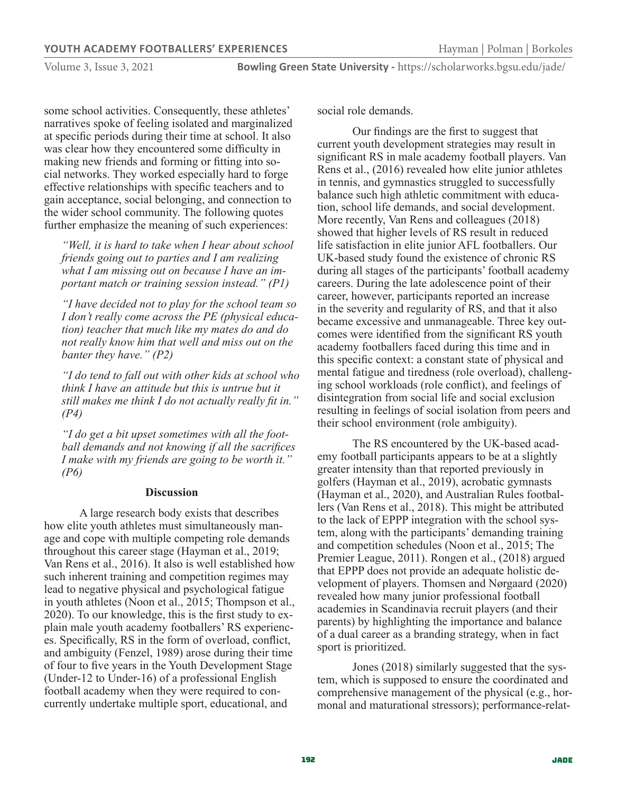**Bowling Green State University -** https://scholarworks.bgsu.edu/jade/

some school activities. Consequently, these athletes' narratives spoke of feeling isolated and marginalized at specific periods during their time at school. It also was clear how they encountered some difficulty in making new friends and forming or fitting into social networks. They worked especially hard to forge effective relationships with specific teachers and to gain acceptance, social belonging, and connection to the wider school community. The following quotes further emphasize the meaning of such experiences:

*"Well, it is hard to take when I hear about school friends going out to parties and I am realizing what I am missing out on because I have an important match or training session instead." (P1)*

*"I have decided not to play for the school team so I don't really come across the PE (physical education) teacher that much like my mates do and do not really know him that well and miss out on the banter they have." (P2)*

*"I do tend to fall out with other kids at school who think I have an attitude but this is untrue but it still makes me think I do not actually really fit in." (P4)*

*"I do get a bit upset sometimes with all the football demands and not knowing if all the sacrifices I make with my friends are going to be worth it." (P6)*

#### **Discussion**

A large research body exists that describes how elite youth athletes must simultaneously manage and cope with multiple competing role demands throughout this career stage (Hayman et al., 2019; Van Rens et al., 2016). It also is well established how such inherent training and competition regimes may lead to negative physical and psychological fatigue in youth athletes (Noon et al., 2015; Thompson et al., 2020). To our knowledge, this is the first study to explain male youth academy footballers' RS experiences. Specifically, RS in the form of overload, conflict, and ambiguity (Fenzel, 1989) arose during their time of four to five years in the Youth Development Stage (Under-12 to Under-16) of a professional English football academy when they were required to concurrently undertake multiple sport, educational, and

social role demands.

Our findings are the first to suggest that current youth development strategies may result in significant RS in male academy football players. Van Rens et al., (2016) revealed how elite junior athletes in tennis, and gymnastics struggled to successfully balance such high athletic commitment with education, school life demands, and social development. More recently, Van Rens and colleagues (2018) showed that higher levels of RS result in reduced life satisfaction in elite junior AFL footballers. Our UK-based study found the existence of chronic RS during all stages of the participants' football academy careers. During the late adolescence point of their career, however, participants reported an increase in the severity and regularity of RS, and that it also became excessive and unmanageable. Three key outcomes were identified from the significant RS youth academy footballers faced during this time and in this specific context: a constant state of physical and mental fatigue and tiredness (role overload), challenging school workloads (role conflict), and feelings of disintegration from social life and social exclusion resulting in feelings of social isolation from peers and their school environment (role ambiguity).

The RS encountered by the UK-based academy football participants appears to be at a slightly greater intensity than that reported previously in golfers (Hayman et al., 2019), acrobatic gymnasts (Hayman et al., 2020), and Australian Rules footballers (Van Rens et al., 2018). This might be attributed to the lack of EPPP integration with the school system, along with the participants' demanding training and competition schedules (Noon et al., 2015; The Premier League, 2011). Rongen et al., (2018) argued that EPPP does not provide an adequate holistic development of players. Thomsen and Nørgaard (2020) revealed how many junior professional football academies in Scandinavia recruit players (and their parents) by highlighting the importance and balance of a dual career as a branding strategy, when in fact sport is prioritized.

Jones (2018) similarly suggested that the system, which is supposed to ensure the coordinated and comprehensive management of the physical (e.g., hormonal and maturational stressors); performance-relat-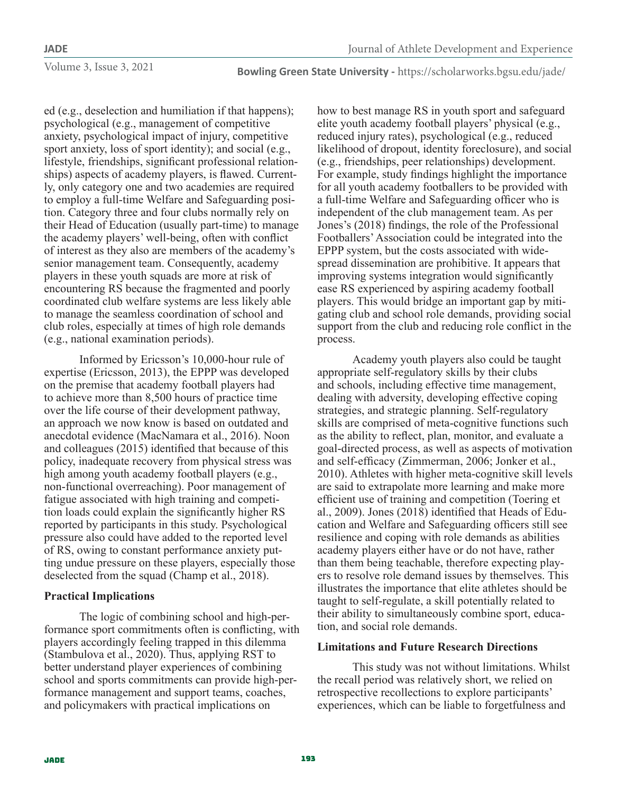**Bowling Green State University -** https://scholarworks.bgsu.edu/jade/

ed (e.g., deselection and humiliation if that happens); psychological (e.g., management of competitive anxiety, psychological impact of injury, competitive sport anxiety, loss of sport identity); and social (e.g., lifestyle, friendships, significant professional relationships) aspects of academy players, is flawed. Currently, only category one and two academies are required to employ a full-time Welfare and Safeguarding position. Category three and four clubs normally rely on their Head of Education (usually part-time) to manage the academy players' well-being, often with conflict of interest as they also are members of the academy's senior management team. Consequently, academy players in these youth squads are more at risk of encountering RS because the fragmented and poorly coordinated club welfare systems are less likely able to manage the seamless coordination of school and club roles, especially at times of high role demands (e.g., national examination periods).

Informed by Ericsson's 10,000-hour rule of expertise (Ericsson, 2013), the EPPP was developed on the premise that academy football players had to achieve more than 8,500 hours of practice time over the life course of their development pathway, an approach we now know is based on outdated and anecdotal evidence (MacNamara et al., 2016). Noon and colleagues (2015) identified that because of this policy, inadequate recovery from physical stress was high among youth academy football players (e.g., non-functional overreaching). Poor management of fatigue associated with high training and competition loads could explain the significantly higher RS reported by participants in this study. Psychological pressure also could have added to the reported level of RS, owing to constant performance anxiety putting undue pressure on these players, especially those deselected from the squad (Champ et al., 2018).

# **Practical Implications**

The logic of combining school and high-performance sport commitments often is conflicting, with players accordingly feeling trapped in this dilemma (Stambulova et al., 2020). Thus, applying RST to better understand player experiences of combining school and sports commitments can provide high-performance management and support teams, coaches, and policymakers with practical implications on

how to best manage RS in youth sport and safeguard elite youth academy football players' physical (e.g., reduced injury rates), psychological (e.g., reduced likelihood of dropout, identity foreclosure), and social (e.g., friendships, peer relationships) development. For example, study findings highlight the importance for all youth academy footballers to be provided with a full-time Welfare and Safeguarding officer who is independent of the club management team. As per Jones's (2018) findings, the role of the Professional Footballers' Association could be integrated into the EPPP system, but the costs associated with widespread dissemination are prohibitive. It appears that improving systems integration would significantly ease RS experienced by aspiring academy football players. This would bridge an important gap by mitigating club and school role demands, providing social support from the club and reducing role conflict in the process.

Academy youth players also could be taught appropriate self-regulatory skills by their clubs and schools, including effective time management, dealing with adversity, developing effective coping strategies, and strategic planning. Self-regulatory skills are comprised of meta-cognitive functions such as the ability to reflect, plan, monitor, and evaluate a goal-directed process, as well as aspects of motivation and self-efficacy (Zimmerman, 2006; Jonker et al., 2010). Athletes with higher meta-cognitive skill levels are said to extrapolate more learning and make more efficient use of training and competition (Toering et al., 2009). Jones (2018) identified that Heads of Education and Welfare and Safeguarding officers still see resilience and coping with role demands as abilities academy players either have or do not have, rather than them being teachable, therefore expecting players to resolve role demand issues by themselves. This illustrates the importance that elite athletes should be taught to self-regulate, a skill potentially related to their ability to simultaneously combine sport, education, and social role demands.

# **Limitations and Future Research Directions**

This study was not without limitations. Whilst the recall period was relatively short, we relied on retrospective recollections to explore participants' experiences, which can be liable to forgetfulness and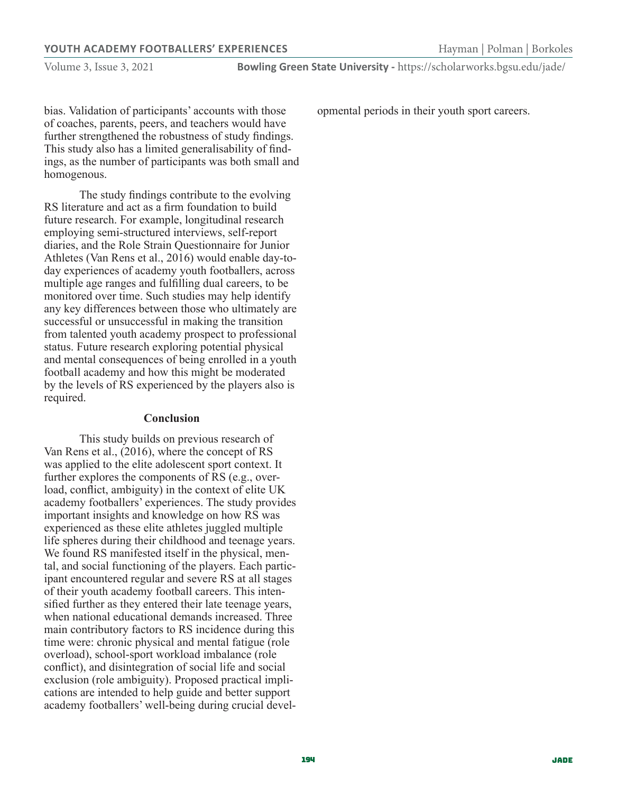#### **YOUTH ACADEMY FOOTBALLERS' EXPERIENCES Hayman** | Polman | Borkoles

Volume 3, Issue 3, 2021

bias. Validation of participants' accounts with those of coaches, parents, peers, and teachers would have further strengthened the robustness of study findings. This study also has a limited generalisability of findings, as the number of participants was both small and homogenous.

The study findings contribute to the evolving RS literature and act as a firm foundation to build future research. For example, longitudinal research employing semi-structured interviews, self-report diaries, and the Role Strain Questionnaire for Junior Athletes (Van Rens et al., 2016) would enable day-today experiences of academy youth footballers, across multiple age ranges and fulfilling dual careers, to be monitored over time. Such studies may help identify any key differences between those who ultimately are successful or unsuccessful in making the transition from talented youth academy prospect to professional status. Future research exploring potential physical and mental consequences of being enrolled in a youth football academy and how this might be moderated by the levels of RS experienced by the players also is required.

#### **Conclusion**

This study builds on previous research of Van Rens et al., (2016), where the concept of RS was applied to the elite adolescent sport context. It further explores the components of RS (e.g., overload, conflict, ambiguity) in the context of elite UK academy footballers' experiences. The study provides important insights and knowledge on how RS was experienced as these elite athletes juggled multiple life spheres during their childhood and teenage years. We found RS manifested itself in the physical, mental, and social functioning of the players. Each participant encountered regular and severe RS at all stages of their youth academy football careers. This intensified further as they entered their late teenage years, when national educational demands increased. Three main contributory factors to RS incidence during this time were: chronic physical and mental fatigue (role overload), school-sport workload imbalance (role conflict), and disintegration of social life and social exclusion (role ambiguity). Proposed practical implications are intended to help guide and better support academy footballers' well-being during crucial developmental periods in their youth sport careers.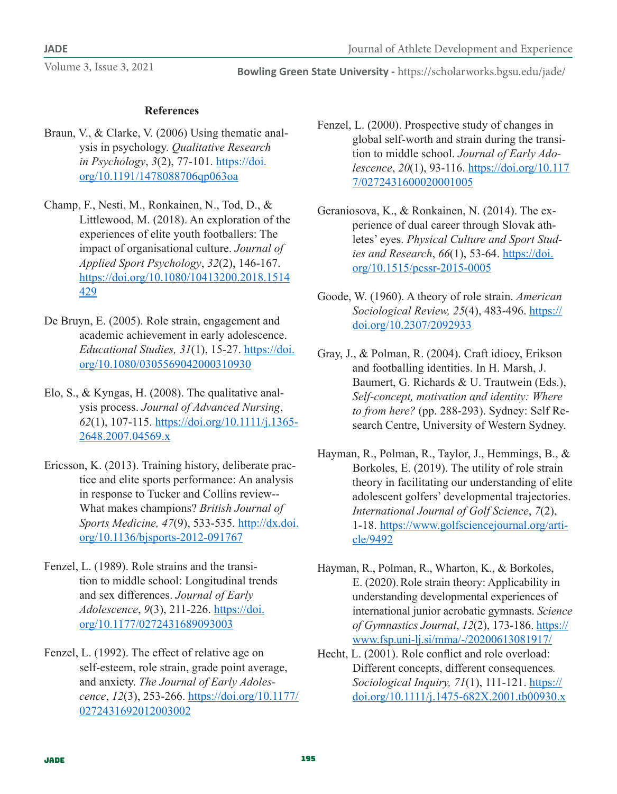# **References**

- Braun, V., & Clarke, V. (2006) Using thematic analysis in psychology. *Qualitative Research in Psychology*, *3*(2), 77-101. https://doi. org/10.1191/1478088706qp063oa
- Champ, F., Nesti, M., Ronkainen, N., Tod, D., & Littlewood, M. (2018). An exploration of the experiences of elite youth footballers: The impact of organisational culture. *Journal of Applied Sport Psychology*, *32*(2), 146-167. https://doi.org/10.1080/10413200.2018.1514 429
- De Bruyn, E. (2005). Role strain, engagement and academic achievement in early adolescence. *Educational Studies, 31*(1), 15-27. https://doi. org/10.1080/0305569042000310930
- Elo, S., & Kyngas, H. (2008). The qualitative analysis process. *Journal of Advanced Nursing*, *62*(1), 107-115. https://doi.org/10.1111/j.1365- 2648.2007.04569.x
- Ericsson, K. (2013). Training history, deliberate practice and elite sports performance: An analysis in response to Tucker and Collins review-- What makes champions? *British Journal of Sports Medicine, 47*(9), 533-535. http://dx.doi. org/10.1136/bjsports-2012-091767
- Fenzel, L. (1989). Role strains and the transition to middle school: Longitudinal trends and sex differences. *Journal of Early Adolescence*, *9*(3), 211-226. https://doi. org/10.1177/0272431689093003
- Fenzel, L. (1992). The effect of relative age on self-esteem, role strain, grade point average, and anxiety. *The Journal of Early Adolescence*, *12*(3), 253-266. https://doi.org/10.1177/ 0272431692012003002
- Fenzel, L. (2000). Prospective study of changes in global self-worth and strain during the transition to middle school. *Journal of Early Adolescence*, *20*(1), 93-116. https://doi.org/10.117 7/0272431600020001005
- Geraniosova, K., & Ronkainen, N. (2014). The experience of dual career through Slovak athletes' eyes. *Physical Culture and Sport Studies and Research*, *66*(1), 53-64. https://doi. org/10.1515/pcssr-2015-0005
- Goode, W. (1960). A theory of role strain. *American Sociological Review, 25*(4), 483-496. https:// doi.org/10.2307/2092933
- Gray, J., & Polman, R. (2004). Craft idiocy, Erikson and footballing identities. In H. Marsh, J. Baumert, G. Richards & U. Trautwein (Eds.), *Self-concept, motivation and identity: Where to from here?* (pp. 288-293). Sydney: Self Research Centre, University of Western Sydney.
- Hayman, R., Polman, R., Taylor, J., Hemmings, B., & Borkoles, E. (2019). The utility of role strain theory in facilitating our understanding of elite adolescent golfers' developmental trajectories. *International Journal of Golf Science*, *7*(2), 1-18. https://www.golfsciencejournal.org/article/9492
- Hayman, R., Polman, R., Wharton, K., & Borkoles, E. (2020).Role strain theory: Applicability in understanding developmental experiences of international junior acrobatic gymnasts. *Science of Gymnastics Journal*, *12*(2), 173-186. https:// www.fsp.uni-lj.si/mma/-/20200613081917/
- Hecht, L. (2001). Role conflict and role overload: Different concepts, different consequences*. Sociological Inquiry, 71*(1), 111-121. https:// doi.org/10.1111/j.1475-682X.2001.tb00930.x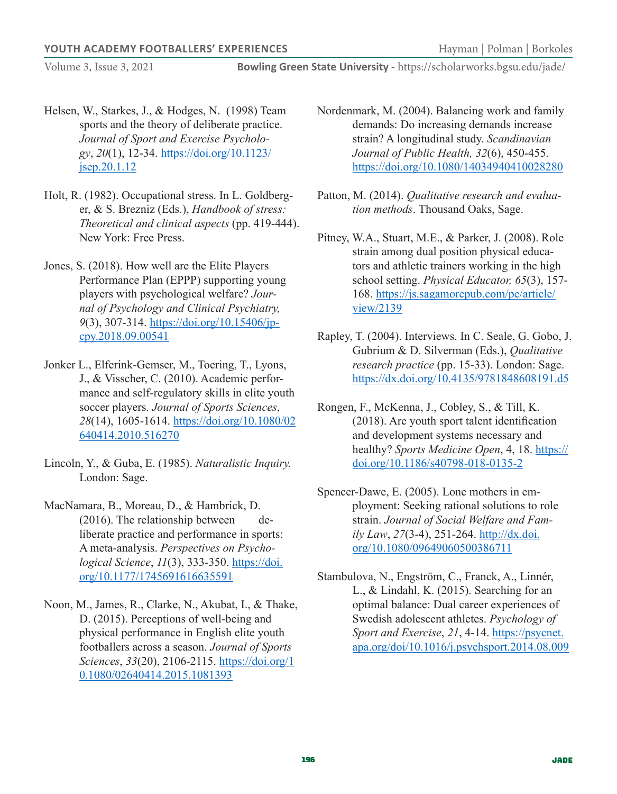**Bowling Green State University -** https://scholarworks.bgsu.edu/jade/

- Helsen, W., Starkes, J., & Hodges, N. (1998) Team sports and the theory of deliberate practice. *Journal of Sport and Exercise Psychology*, *20*(1), 12-34. https://doi.org/10.1123/ jsep.20.1.12
- Holt, R. (1982). Occupational stress. In L. Goldberger, & S. Brezniz (Eds.), *Handbook of stress: Theoretical and clinical aspects* (pp. 419-444). New York: Free Press.
- Jones, S. (2018). How well are the Elite Players Performance Plan (EPPP) supporting young players with psychological welfare? *Journal of Psychology and Clinical Psychiatry, 9*(3), 307-314. https://doi.org/10.15406/jpcpy.2018.09.00541
- Jonker L., Elferink-Gemser, M., Toering, T., Lyons, J., & Visscher, C. (2010). Academic performance and self-regulatory skills in elite youth soccer players. *Journal of Sports Sciences*, *28*(14), 1605-1614. https://doi.org/10.1080/02 640414.2010.516270
- Lincoln, Y., & Guba, E. (1985). *Naturalistic Inquiry.* London: Sage.
- MacNamara, B., Moreau, D., & Hambrick, D. (2016). The relationship between deliberate practice and performance in sports: A meta-analysis. *Perspectives on Psychological Science*, *11*(3), 333-350. https://doi. org/10.1177/1745691616635591
- Noon, M., James, R., Clarke, N., Akubat, I., & Thake, D. (2015). Perceptions of well-being and physical performance in English elite youth footballers across a season. *Journal of Sports Sciences*, *33*(20), 2106-2115. https://doi.org/1 0.1080/02640414.2015.1081393
- Nordenmark, M. (2004). Balancing work and family demands: Do increasing demands increase strain? A longitudinal study. *Scandinavian Journal of Public Health, 32*(6), 450-455. https://doi.org/10.1080/14034940410028280
- Patton, M. (2014). *Qualitative research and evaluation methods*. Thousand Oaks, Sage.
- Pitney, W.A., Stuart, M.E., & Parker, J. (2008). Role strain among dual position physical educators and athletic trainers working in the high school setting. *Physical Educator, 65*(3), 157- 168. https://js.sagamorepub.com/pe/article/ view/2139
- Rapley, T. (2004). Interviews. In C. Seale, G. Gobo, J. Gubrium & D. Silverman (Eds.), *Qualitative research practice* (pp. 15-33). London: Sage. https://dx.doi.org/10.4135/9781848608191.d5
- Rongen, F., McKenna, J., Cobley, S., & Till, K. (2018). Are youth sport talent identification and development systems necessary and healthy? *Sports Medicine Open*, 4, 18. https:// doi.org/10.1186/s40798-018-0135-2
- Spencer-Dawe, E. (2005). Lone mothers in employment: Seeking rational solutions to role strain. *Journal of Social Welfare and Family Law*, *27*(3-4), 251-264. http://dx.doi. org/10.1080/09649060500386711
- Stambulova, N., Engström, C., Franck, A., Linnér, L., & Lindahl, K. (2015). Searching for an optimal balance: Dual career experiences of Swedish adolescent athletes. *Psychology of Sport and Exercise*, *21*, 4-14. https://psycnet. apa.org/doi/10.1016/j.psychsport.2014.08.009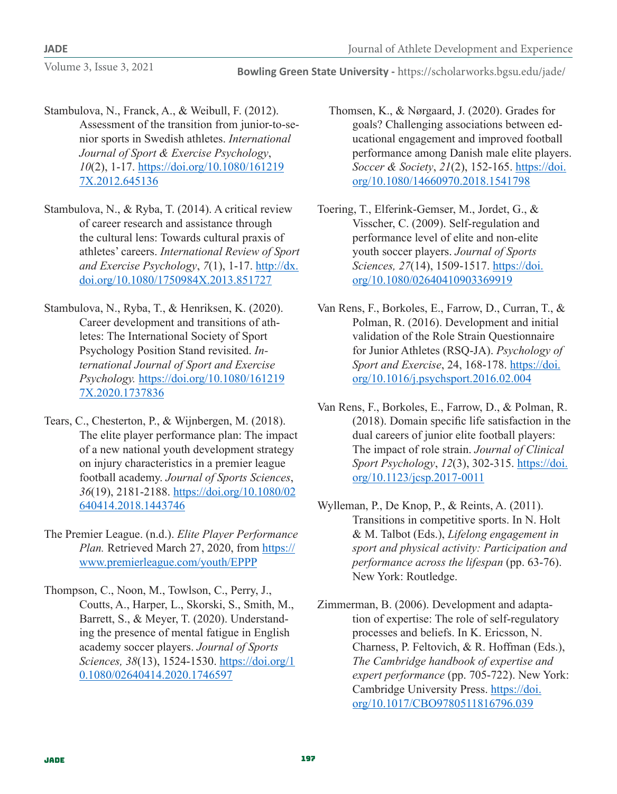- Stambulova, N., Franck, A., & Weibull, F. (2012). Assessment of the transition from junior-to-senior sports in Swedish athletes. *International Journal of Sport & Exercise Psychology*, *10*(2), 1-17. https://doi.org/10.1080/161219 7X.2012.645136
- Stambulova, N., & Ryba, T. (2014). A critical review of career research and assistance through the cultural lens: Towards cultural praxis of athletes' careers. *International Review of Sport and Exercise Psychology*, *7*(1), 1-17. http://dx. doi.org/10.1080/1750984X.2013.851727
- Stambulova, N., Ryba, T., & Henriksen, K. (2020). Career development and transitions of athletes: The International Society of Sport Psychology Position Stand revisited. *International Journal of Sport and Exercise Psychology.* https://doi.org/10.1080/161219 7X.2020.1737836
- Tears, C., Chesterton, P., & Wijnbergen, M. (2018). The elite player performance plan: The impact of a new national youth development strategy on injury characteristics in a premier league football academy. *Journal of Sports Sciences*, *36*(19), 2181-2188. https://doi.org/10.1080/02 640414.2018.1443746
- The Premier League. (n.d.). *Elite Player Performance Plan.* Retrieved March 27, 2020, from https:// www.premierleague.com/youth/EPPP
- Thompson, C., Noon, M., Towlson, C., Perry, J., Coutts, A., Harper, L., Skorski, S., Smith, M., Barrett, S., & Meyer, T. (2020). Understanding the presence of mental fatigue in English academy soccer players. *Journal of Sports Sciences, 38*(13), 1524-1530. https://doi.org/1 0.1080/02640414.2020.1746597
- Thomsen, K., & Nørgaard, J. (2020). Grades for goals? Challenging associations between educational engagement and improved football performance among Danish male elite players. *Soccer & Society*, *21*(2), 152-165. https://doi. org/10.1080/14660970.2018.1541798
- Toering, T., Elferink-Gemser, M., Jordet, G., & Visscher, C. (2009). Self-regulation and performance level of elite and non-elite youth soccer players. *Journal of Sports Sciences, 27*(14), 1509-1517. https://doi. org/10.1080/02640410903369919
- Van Rens, F., Borkoles, E., Farrow, D., Curran, T., & Polman, R. (2016). Development and initial validation of the Role Strain Questionnaire for Junior Athletes (RSQ-JA). *Psychology of Sport and Exercise*, 24, 168-178. https://doi. org/10.1016/j.psychsport.2016.02.004
- Van Rens, F., Borkoles, E., Farrow, D., & Polman, R. (2018). Domain specific life satisfaction in the dual careers of junior elite football players: The impact of role strain. *Journal of Clinical Sport Psychology*, *12*(3), 302-315. https://doi. org/10.1123/jcsp.2017-0011
- Wylleman, P., De Knop, P., & Reints, A. (2011). Transitions in competitive sports. In N. Holt & M. Talbot (Eds.), *Lifelong engagement in sport and physical activity: Participation and performance across the lifespan* (pp. 63-76). New York: Routledge.
- Zimmerman, B. (2006). Development and adaptation of expertise: The role of self-regulatory processes and beliefs. In K. Ericsson, N. Charness, P. Feltovich, & R. Hoffman (Eds.), *The Cambridge handbook of expertise and expert performance* (pp. 705-722). New York: Cambridge University Press. https://doi. org/10.1017/CBO9780511816796.039